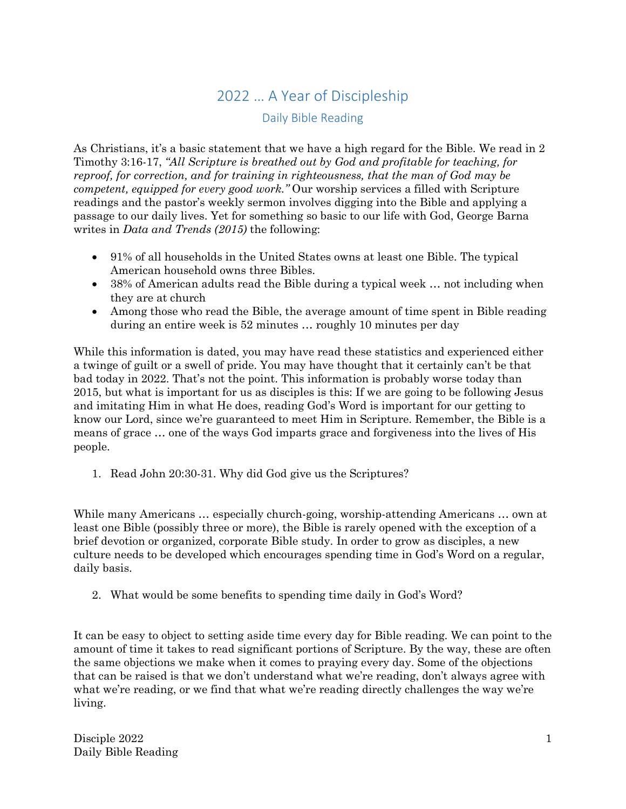## 2022 … A Year of Discipleship

## Daily Bible Reading

As Christians, it's a basic statement that we have a high regard for the Bible. We read in 2 Timothy 3:16-17, *"All Scripture is breathed out by God and profitable for teaching, for reproof, for correction, and for training in righteousness, that the man of God may be competent, equipped for every good work."* Our worship services a filled with Scripture readings and the pastor's weekly sermon involves digging into the Bible and applying a passage to our daily lives. Yet for something so basic to our life with God, George Barna writes in *Data and Trends (2015)* the following:

- 91% of all households in the United States owns at least one Bible. The typical American household owns three Bibles.
- 38% of American adults read the Bible during a typical week ... not including when they are at church
- Among those who read the Bible, the average amount of time spent in Bible reading during an entire week is 52 minutes … roughly 10 minutes per day

While this information is dated, you may have read these statistics and experienced either a twinge of guilt or a swell of pride. You may have thought that it certainly can't be that bad today in 2022. That's not the point. This information is probably worse today than 2015, but what is important for us as disciples is this: If we are going to be following Jesus and imitating Him in what He does, reading God's Word is important for our getting to know our Lord, since we're guaranteed to meet Him in Scripture. Remember, the Bible is a means of grace … one of the ways God imparts grace and forgiveness into the lives of His people.

1. Read John 20:30-31. Why did God give us the Scriptures?

While many Americans … especially church-going, worship-attending Americans … own at least one Bible (possibly three or more), the Bible is rarely opened with the exception of a brief devotion or organized, corporate Bible study. In order to grow as disciples, a new culture needs to be developed which encourages spending time in God's Word on a regular, daily basis.

2. What would be some benefits to spending time daily in God's Word?

It can be easy to object to setting aside time every day for Bible reading. We can point to the amount of time it takes to read significant portions of Scripture. By the way, these are often the same objections we make when it comes to praying every day. Some of the objections that can be raised is that we don't understand what we're reading, don't always agree with what we're reading, or we find that what we're reading directly challenges the way we're living.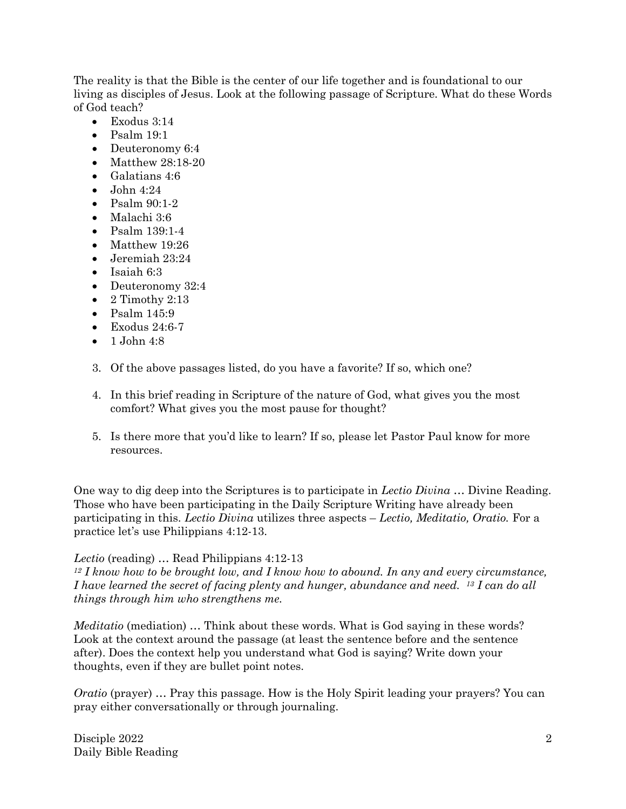The reality is that the Bible is the center of our life together and is foundational to our living as disciples of Jesus. Look at the following passage of Scripture. What do these Words of God teach?

- Exodus 3:14
- $\bullet$  Psalm 19:1
- Deuteronomy 6:4
- Matthew 28:18-20
- Galatians 4:6
- $\bullet$  John 4:24
- Psalm 90:1-2
- Malachi 3:6
- Psalm 139:1-4
- Matthew 19:26
- Jeremiah 23:24
- Isaiah 6:3
- Deuteronomy 32:4
- $\bullet$  2 Timothy 2:13
- Psalm 145:9
- $\bullet$  Exodus 24:6-7
- $\bullet$  1 John 4:8
- 3. Of the above passages listed, do you have a favorite? If so, which one?
- 4. In this brief reading in Scripture of the nature of God, what gives you the most comfort? What gives you the most pause for thought?
- 5. Is there more that you'd like to learn? If so, please let Pastor Paul know for more resources.

One way to dig deep into the Scriptures is to participate in *Lectio Divina* … Divine Reading. Those who have been participating in the Daily Scripture Writing have already been participating in this. *Lectio Divina* utilizes three aspects – *Lectio, Meditatio, Oratio.* For a practice let's use Philippians 4:12-13.

## *Lectio* (reading) … Read Philippians 4:12-13

*<sup>12</sup> I know how to be brought low, and I know how to abound. In any and every circumstance, I have learned the secret of facing plenty and hunger, abundance and need. 13 I can do all things through him who strengthens me.*

*Meditatio* (mediation) ... Think about these words. What is God saying in these words? Look at the context around the passage (at least the sentence before and the sentence after). Does the context help you understand what God is saying? Write down your thoughts, even if they are bullet point notes.

*Oratio* (prayer) ... Pray this passage. How is the Holy Spirit leading your prayers? You can pray either conversationally or through journaling.